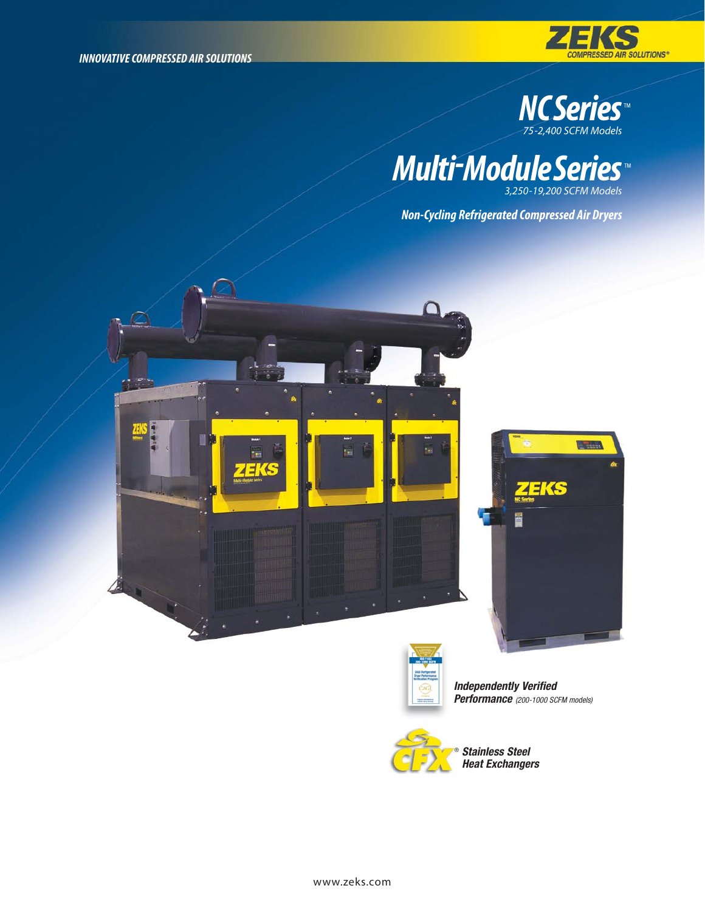



END

*Multi-ModuleSeries 3,250-19,200 SCFM Models* TM

*Non-Cycling Refrigerated Compressed Air Dryers*





Independently Verified Performance (200-1000 SCFM models)



Stainless Steel Heat Exchangers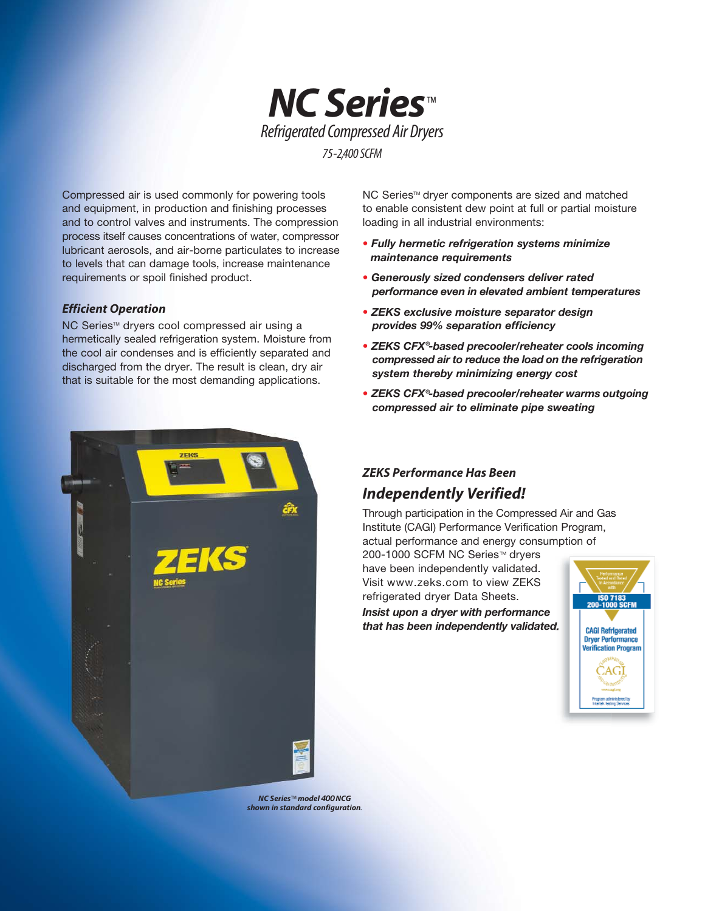

Compressed air is used commonly for powering tools and equipment, in production and finishing processes and to control valves and instruments. The compression process itself causes concentrations of water, compressor lubricant aerosols, and air-borne particulates to increase to levels that can damage tools, increase maintenance requirements or spoil finished product.

#### *Efficient Operation*

NC Series™ dryers cool compressed air using a hermetically sealed refrigeration system. Moisture from the cool air condenses and is efficiently separated and discharged from the dryer. The result is clean, dry air that is suitable for the most demanding applications.



NC Series<sup>™</sup> dryer components are sized and matched to enable consistent dew point at full or partial moisture loading in all industrial environments:

- Fully hermetic refrigeration systems minimize maintenance requirements
- Generously sized condensers deliver rated performance even in elevated ambient temperatures
- ZEKS exclusive moisture separator design provides 99% separation efficiency
- ZEKS CFX®-based precooler/reheater cools incoming compressed air to reduce the load on the refrigeration system thereby minimizing energy cost
- ZEKS CFX®-based precooler/reheater warms outgoing compressed air to eliminate pipe sweating

## *ZEKS Performance Has Been Independently Verified!*

Through participation in the Compressed Air and Gas Institute (CAGI) Performance Verification Program, actual performance and energy consumption of

200-1000 SCFM NC Series™ dryers have been independently validated. Visit www.zeks.com to view ZEKS refrigerated dryer Data Sheets. Insist upon a dryer with performance

that has been independently validated.



*NC Series*TM *model* 400*NCG shown in standard configuration.*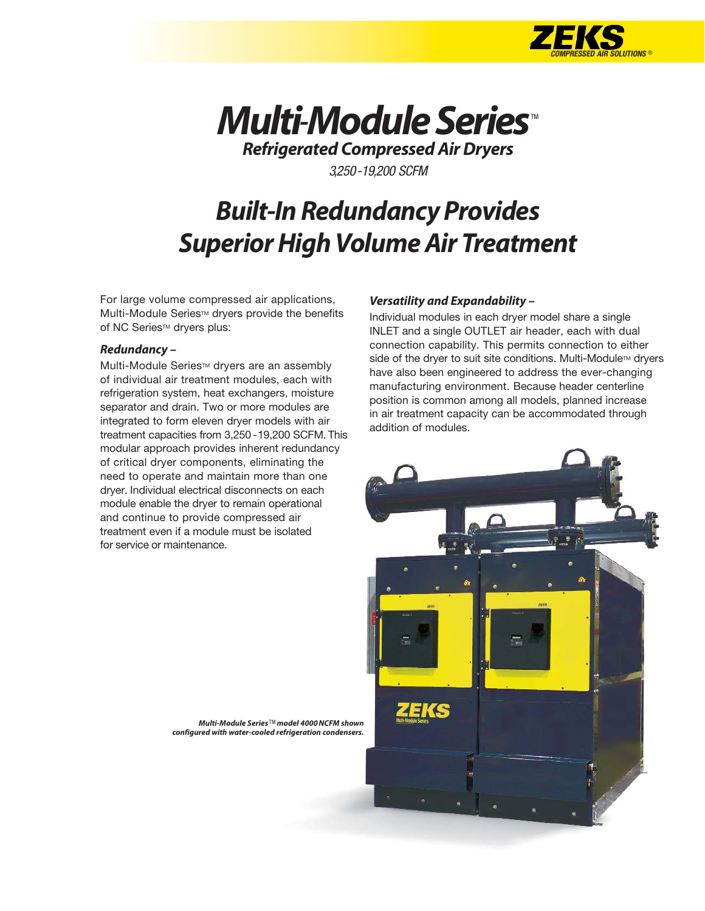



*Refrigerated Compressed Air Dryers*

3,250-19,200 SCFM

# *Built-In Redundancy Provides Superior High Volume Air Treatment*

For large volume compressed air applications, Multi-Module Series™ dryers provide the benefits of NC Series™ dryers plus:

#### *Redundancy –*

Multi-Module Series™ dryers are an assembly of individual air treatment modules, each with refrigeration system, heat exchangers, moisture separator and drain. Two or more modules are integrated to form eleven dryer models with air treatment capacities from 3,250 -19,200 SCFM. This modular approach provides inherent redundancy of critical dryer components, eliminating the need to operate and maintain more than one dryer. Individual electrical disconnects on each module enable the dryer to remain operational and continue to provide compressed air treatment even if a module must be isolated for service or maintenance.

#### *Versatility and Expandability –*

Individual modules in each dryer model share a single INLET and a single OUTLET air header, each with dual connection capability. This permits connection to either side of the dryer to suit site conditions. Multi-Module<sup>TM</sup> dryers have also been engineered to address the ever-changing manufacturing environment. Because header centerline position is common among all models, planned increase in air treatment capacity can be accommodated through addition of modules.



*Multi-Module Series* TM *model 4000 NCFM shown configured with water-cooled refrigeration condensers.*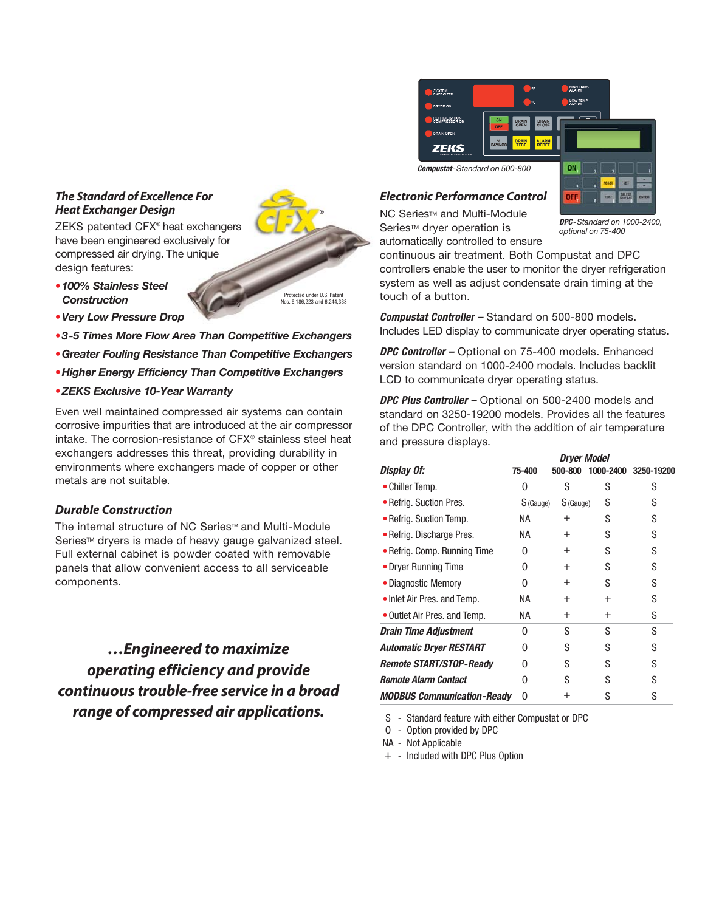#### *The Standard of Excellence For Heat Exchanger Design*

ZEKS patented CFX® heat exchangers have been engineered exclusively for compressed air drying. The unique design features:

- •100% Stainless Steel **Construction**
- •Very Low Pressure Drop
- •3-5 Times More Flow Area Than Competitive Exchangers
- •Greater Fouling Resistance Than Competitive Exchangers
- •Higher Energy Efficiency Than Competitive Exchangers
- •ZEKS Exclusive 10-Year Warranty

Even well maintained compressed air systems can contain corrosive impurities that are introduced at the air compressor intake. The corrosion-resistance of CFX® stainless steel heat exchangers addresses this threat, providing durability in environments where exchangers made of copper or other metals are not suitable.

#### *Durable Construction*

The internal structure of NC Series™ and Multi-Module Series™ dryers is made of heavy gauge galvanized steel. Full external cabinet is powder coated with removable panels that allow convenient access to all serviceable components.

*…Engineered to maximize operating efficiency and provide continuous trouble-free service in a broad range of compressed air applications.*

HIGH TEM SYSTEM<br>ENERGIZED **LOW TEMP** DRYER ON REFRIGERATION ZEKS Compustat-Standard on 500-800 ON

#### *Electronic Performance Control*

NC Series™ and Multi-Module Series<sup>™</sup> dryer operation is automatically controlled to ensure

DPC-Standard on 1000-2400, optional on 75-400

continuous air treatment. Both Compustat and DPC controllers enable the user to monitor the dryer refrigeration system as well as adjust condensate drain timing at the touch of a button.

Compustat Controller - Standard on 500-800 models. Includes LED display to communicate dryer operating status.

DPC Controller - Optional on 75-400 models. Enhanced version standard on 1000-2400 models. Includes backlit LCD to communicate dryer operating status.

DPC Plus Controller - Optional on 500-2400 models and standard on 3250-19200 models. Provides all the features of the DPC Controller, with the addition of air temperature and pressure displays.

|                                   | Dryer Model |           |                |            |  |  |  |  |
|-----------------------------------|-------------|-----------|----------------|------------|--|--|--|--|
| Display Of:                       | 75-400      | 500-800   | 1000-2400      | 3250-19200 |  |  |  |  |
| • Chiller Temp.                   | 0           | S         | S              | S          |  |  |  |  |
| • Refrig. Suction Pres.           | S (Gauge)   | S (Gauge) | S              | S          |  |  |  |  |
| • Refrig. Suction Temp.           | NA.         | $^+$      | S              | S          |  |  |  |  |
| • Refrig. Discharge Pres.         | NA.         | $^+$      | S              | S          |  |  |  |  |
| • Refrig. Comp. Running Time      | O           | $^{+}$    | S              | S          |  |  |  |  |
| • Dryer Running Time              | 0           | $^{+}$    | S              | S          |  |  |  |  |
| • Diagnostic Memory               | U           | $^{+}$    | S              | S          |  |  |  |  |
| • Inlet Air Pres. and Temp.       | NА          | $^{+}$    | $\overline{+}$ | S          |  |  |  |  |
| • Outlet Air Pres. and Temp.      | NА          | $\pm$     | $^{+}$         | S          |  |  |  |  |
| Drain Time Adjustment             | U           | S         | S              | S          |  |  |  |  |
| <b>Automatic Dryer RESTART</b>    | 0           | S         | S              | S          |  |  |  |  |
| Remote START/STOP-Ready           | U           | S         | S              | S          |  |  |  |  |
| <b>Remote Alarm Contact</b>       | 0           | S         | S              | S          |  |  |  |  |
| <b>MODBUS Communication-Ready</b> | 0           | ┿         | S              | S          |  |  |  |  |

S - Standard feature with either Compustat or DPC

O - Option provided by DPC

NA - Not Applicable

+ - Included with DPC Plus Option



Protected under U.S. Patent Nos. 6,186,223 and 6,244,333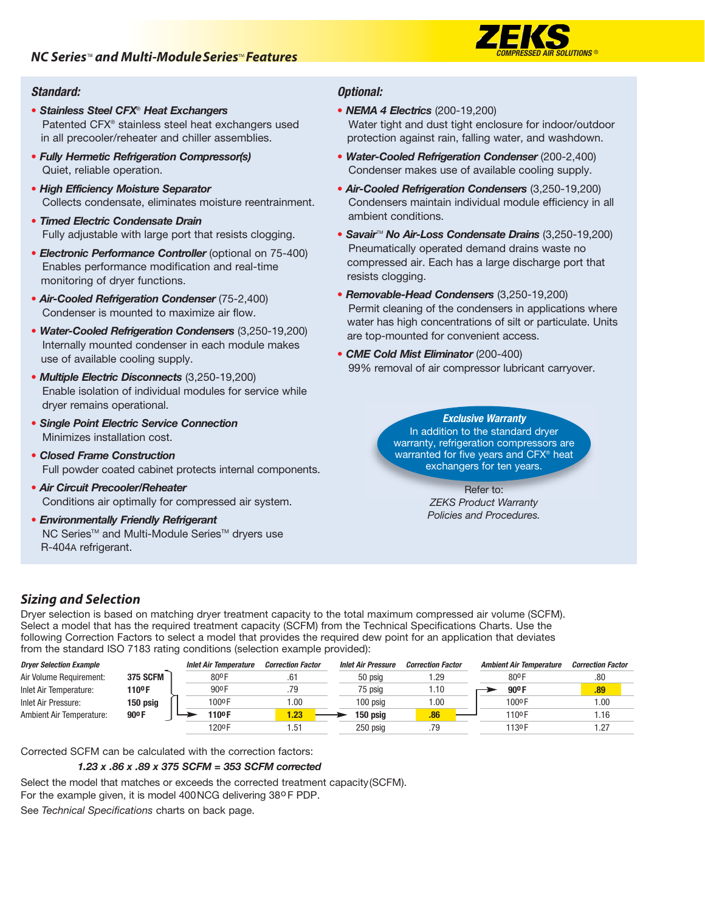

### Standard:

- Stainless Steel CFX<sup>®</sup> Heat Exchangers Patented CFX® stainless steel heat exchangers used in all precooler/reheater and chiller assemblies.
- Fully Hermetic Refrigeration Compressor(s) Quiet, reliable operation.
- High Efficiency Moisture Separator Collects condensate, eliminates moisture reentrainment.
- Timed Electric Condensate Drain Fully adjustable with large port that resists clogging.
- Electronic Performance Controller (optional on 75-400) Enables performance modification and real-time monitoring of dryer functions.
- Air-Cooled Refrigeration Condenser (75-2,400) Condenser is mounted to maximize air flow.
- Water-Cooled Refrigeration Condensers (3,250-19,200) Internally mounted condenser in each module makes use of available cooling supply.
- Multiple Electric Disconnects (3,250-19,200) Enable isolation of individual modules for service while dryer remains operational.
- Single Point Electric Service Connection Minimizes installation cost.
- Closed Frame Construction Full powder coated cabinet protects internal components.
- Air Circuit Precooler/Reheater Conditions air optimally for compressed air system.
- Environmentally Friendly Refrigerant NC Series™ and Multi-Module Series™ dryers use R-404A refrigerant.

### Optional:

- NEMA 4 Electrics (200-19,200) Water tight and dust tight enclosure for indoor/outdoor protection against rain, falling water, and washdown.
- Water-Cooled Refrigeration Condenser (200-2,400) Condenser makes use of available cooling supply.
- Air-Cooled Refrigeration Condensers (3,250-19,200) Condensers maintain individual module efficiency in all ambient conditions.
- Savair<sup>™</sup> No Air-Loss Condensate Drains (3,250-19,200) Pneumatically operated demand drains waste no compressed air. Each has a large discharge port that resists clogging.
- Removable-Head Condensers (3,250-19,200) Permit cleaning of the condensers in applications where water has high concentrations of silt or particulate. Units are top-mounted for convenient access.
- CME Cold Mist Eliminator (200-400) 99% removal of air compressor lubricant carryover.

Exclusive Warranty In addition to the standard dryer warranty, refrigeration compressors are warranted for five years and CFX® heat exchangers for ten years.

> Refer to: ZEKS Product Warranty Policies and Procedures.

## *Sizing and Selection*

Dryer selection is based on matching dryer treatment capacity to the total maximum compressed air volume (SCFM). Select a model that has the required treatment capacity (SCFM) from the Technical Specifications Charts. Use the following Correction Factors to select a model that provides the required dew point for an application that deviates from the standard ISO 7183 rating conditions (selection example provided):

| <b>Dryer Selection Example</b> |                   | <b>Inlet Air Temperature</b> | <b>Correction Factor</b> | <b>Inlet Air Pressure</b> | <b>Correction Factor</b> | <b>Ambient Air Temperature</b> | <b>Correction Factor</b> |
|--------------------------------|-------------------|------------------------------|--------------------------|---------------------------|--------------------------|--------------------------------|--------------------------|
| Air Volume Requirement:        | <b>375 SCFM</b>   | 80ºF                         | .61                      | 50 psig                   | <b>1.29</b>              | 80 <sup>o</sup> F              | .80                      |
| Inlet Air Temperature:         | 110º F            | 90 <sup>o</sup> F            | .79                      | 75 psig                   | 1.10                     | $90^{\circ}$ F                 | .89                      |
| Inlet Air Pressure:            | 150 psig          | 100ºF                        | .00.                     | 100 psia                  | 1.00                     | 100ºF                          | .00.                     |
| Ambient Air Temperature:       | 90 <sup>o</sup> F | 110ºF                        | 1.23 <sub>1</sub>        | 150 psig                  | .86                      | 110 <sup>o</sup> F             | . 16                     |
|                                |                   | 120ºF                        | 51.,                     | 250 psig                  | .79                      | 1130F                          | .27                      |

Corrected SCFM can be calculated with the correction factors:

#### 1.23 x .86 x .89 x 375 SCFM = 353 SCFM corrected

Select the model that matches or exceeds the corrected treatment capacity(SCFM). For the example given, it is model 400NCG delivering 38o F PDP. See Technical Specifications charts on back page.